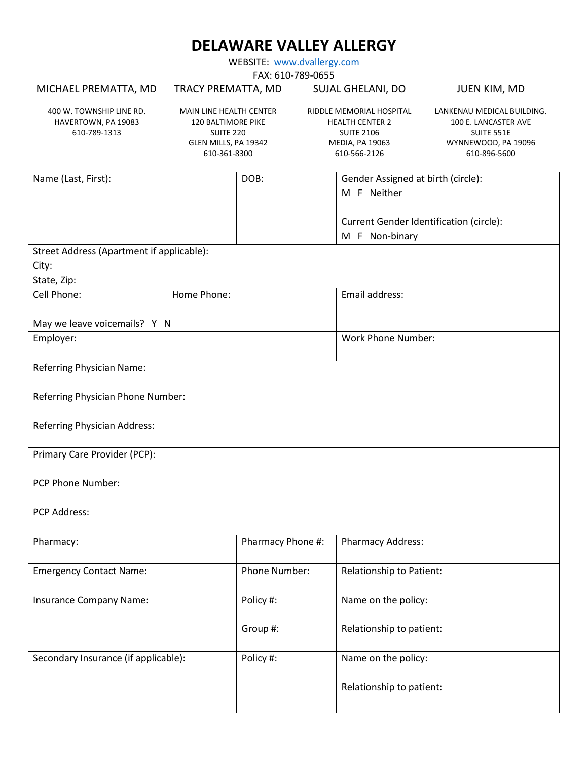WEBSITE: [www.dvallergy.com](http://www.dvallergy.com/)

FAX: 610-789-0655

| FAX: 610-789-0655                                               |                                                                                                                  |                   |                                                                                                            |                           |                                                                                                         |  |
|-----------------------------------------------------------------|------------------------------------------------------------------------------------------------------------------|-------------------|------------------------------------------------------------------------------------------------------------|---------------------------|---------------------------------------------------------------------------------------------------------|--|
| MICHAEL PREMATTA, MD                                            | TRACY PREMATTA, MD                                                                                               |                   | SUJAL GHELANI, DO                                                                                          |                           | JUEN KIM, MD                                                                                            |  |
| 400 W. TOWNSHIP LINE RD.<br>HAVERTOWN, PA 19083<br>610-789-1313 | MAIN LINE HEALTH CENTER<br><b>120 BALTIMORE PIKE</b><br><b>SUITE 220</b><br>GLEN MILLS, PA 19342<br>610-361-8300 |                   | RIDDLE MEMORIAL HOSPITAL<br><b>HEALTH CENTER 2</b><br><b>SUITE 2106</b><br>MEDIA, PA 19063<br>610-566-2126 |                           | LANKENAU MEDICAL BUILDING.<br>100 E. LANCASTER AVE<br>SUITE 551E<br>WYNNEWOOD, PA 19096<br>610-896-5600 |  |
| Name (Last, First):                                             |                                                                                                                  | DOB:              |                                                                                                            |                           | Gender Assigned at birth (circle):                                                                      |  |
|                                                                 |                                                                                                                  |                   |                                                                                                            | M F Neither               |                                                                                                         |  |
|                                                                 |                                                                                                                  |                   |                                                                                                            |                           |                                                                                                         |  |
|                                                                 |                                                                                                                  |                   |                                                                                                            |                           | Current Gender Identification (circle):                                                                 |  |
|                                                                 |                                                                                                                  |                   |                                                                                                            | M F Non-binary            |                                                                                                         |  |
| Street Address (Apartment if applicable):                       |                                                                                                                  |                   |                                                                                                            |                           |                                                                                                         |  |
| City:                                                           |                                                                                                                  |                   |                                                                                                            |                           |                                                                                                         |  |
| State, Zip:                                                     |                                                                                                                  |                   |                                                                                                            |                           |                                                                                                         |  |
| Cell Phone:                                                     | Home Phone:                                                                                                      |                   |                                                                                                            | Email address:            |                                                                                                         |  |
| May we leave voicemails? Y N                                    |                                                                                                                  |                   |                                                                                                            |                           |                                                                                                         |  |
| Employer:                                                       |                                                                                                                  |                   |                                                                                                            | <b>Work Phone Number:</b> |                                                                                                         |  |
|                                                                 |                                                                                                                  |                   |                                                                                                            |                           |                                                                                                         |  |
| Referring Physician Name:                                       |                                                                                                                  |                   |                                                                                                            |                           |                                                                                                         |  |
|                                                                 |                                                                                                                  |                   |                                                                                                            |                           |                                                                                                         |  |
| Referring Physician Phone Number:                               |                                                                                                                  |                   |                                                                                                            |                           |                                                                                                         |  |
|                                                                 |                                                                                                                  |                   |                                                                                                            |                           |                                                                                                         |  |
| Referring Physician Address:                                    |                                                                                                                  |                   |                                                                                                            |                           |                                                                                                         |  |
|                                                                 |                                                                                                                  |                   |                                                                                                            |                           |                                                                                                         |  |
| Primary Care Provider (PCP):                                    |                                                                                                                  |                   |                                                                                                            |                           |                                                                                                         |  |
|                                                                 |                                                                                                                  |                   |                                                                                                            |                           |                                                                                                         |  |
| PCP Phone Number:                                               |                                                                                                                  |                   |                                                                                                            |                           |                                                                                                         |  |
| PCP Address:                                                    |                                                                                                                  |                   |                                                                                                            |                           |                                                                                                         |  |
|                                                                 |                                                                                                                  |                   |                                                                                                            |                           |                                                                                                         |  |
| Pharmacy:                                                       |                                                                                                                  | Pharmacy Phone #: |                                                                                                            | Pharmacy Address:         |                                                                                                         |  |
|                                                                 |                                                                                                                  |                   |                                                                                                            |                           |                                                                                                         |  |
| <b>Emergency Contact Name:</b>                                  |                                                                                                                  | Phone Number:     |                                                                                                            | Relationship to Patient:  |                                                                                                         |  |
|                                                                 |                                                                                                                  |                   |                                                                                                            |                           |                                                                                                         |  |
| Insurance Company Name:                                         |                                                                                                                  | Policy #:         |                                                                                                            | Name on the policy:       |                                                                                                         |  |
|                                                                 |                                                                                                                  |                   |                                                                                                            |                           |                                                                                                         |  |
|                                                                 |                                                                                                                  | Group #:          |                                                                                                            | Relationship to patient:  |                                                                                                         |  |
|                                                                 |                                                                                                                  |                   |                                                                                                            |                           |                                                                                                         |  |
| Secondary Insurance (if applicable):                            |                                                                                                                  | Policy #:         |                                                                                                            | Name on the policy:       |                                                                                                         |  |
|                                                                 |                                                                                                                  |                   |                                                                                                            |                           |                                                                                                         |  |
|                                                                 |                                                                                                                  |                   |                                                                                                            | Relationship to patient:  |                                                                                                         |  |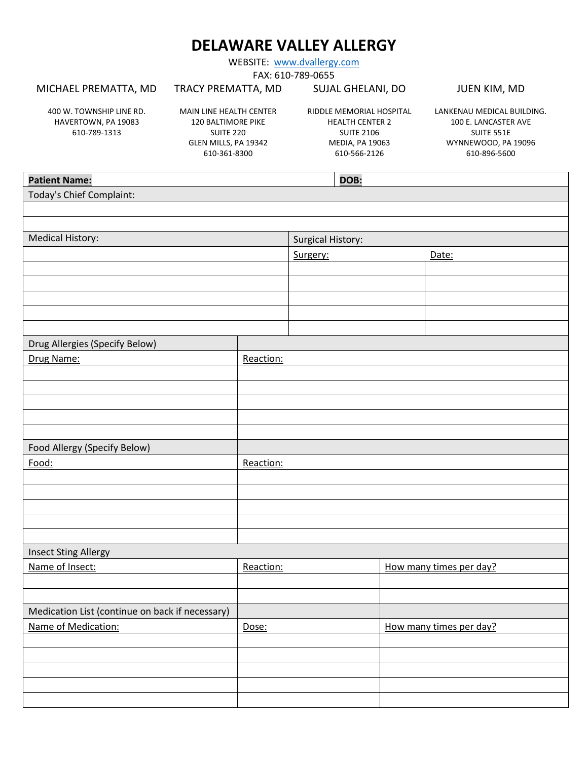WEBSITE: [www.dvallergy.com](http://www.dvallergy.com/)

FAX: 610-789-0655

#### MICHAEL PREMATTA, MD

### TRACY PREMATTA, MD

SUJAL GHELANI, DO

400 W. TOWNSHIP LINE RD. HAVERTOWN, PA 19083 610-789-1313

MAIN LINE HEALTH CENTER 120 BALTIMORE PIKE SUITE 220 GLEN MILLS, PA 19342 610-361-8300

RIDDLE MEMORIAL HOSPITAL HEALTH CENTER 2 SUITE 2106 MEDIA, PA 19063 610-566-2126

 $\overline{\phantom{0}}$ 

LANKENAU MEDICAL BUILDING. 100 E. LANCASTER AVE SUITE 551E WYNNEWOOD, PA 19096 610-896-5600

JUEN KIM, MD

| <b>Patient Name:</b>                            |           | <b>DOB:</b>              |                         |
|-------------------------------------------------|-----------|--------------------------|-------------------------|
| Today's Chief Complaint:                        |           |                          |                         |
|                                                 |           |                          |                         |
|                                                 |           |                          |                         |
| <b>Medical History:</b>                         |           | <b>Surgical History:</b> |                         |
|                                                 |           | Surgery:                 | Date:                   |
|                                                 |           |                          |                         |
|                                                 |           |                          |                         |
|                                                 |           |                          |                         |
|                                                 |           |                          |                         |
|                                                 |           |                          |                         |
| Drug Allergies (Specify Below)                  |           |                          |                         |
| Drug Name:                                      | Reaction: |                          |                         |
|                                                 |           |                          |                         |
|                                                 |           |                          |                         |
|                                                 |           |                          |                         |
|                                                 |           |                          |                         |
|                                                 |           |                          |                         |
| Food Allergy (Specify Below)                    |           |                          |                         |
| Food:                                           | Reaction: |                          |                         |
|                                                 |           |                          |                         |
|                                                 |           |                          |                         |
|                                                 |           |                          |                         |
|                                                 |           |                          |                         |
|                                                 |           |                          |                         |
| <b>Insect Sting Allergy</b>                     |           |                          |                         |
| Name of Insect:                                 | Reaction: |                          | How many times per day? |
|                                                 |           |                          |                         |
|                                                 |           |                          |                         |
| Medication List (continue on back if necessary) |           |                          |                         |
| Name of Medication:                             | Dose:     |                          | How many times per day? |
|                                                 |           |                          |                         |
|                                                 |           |                          |                         |
|                                                 |           |                          |                         |
|                                                 |           |                          |                         |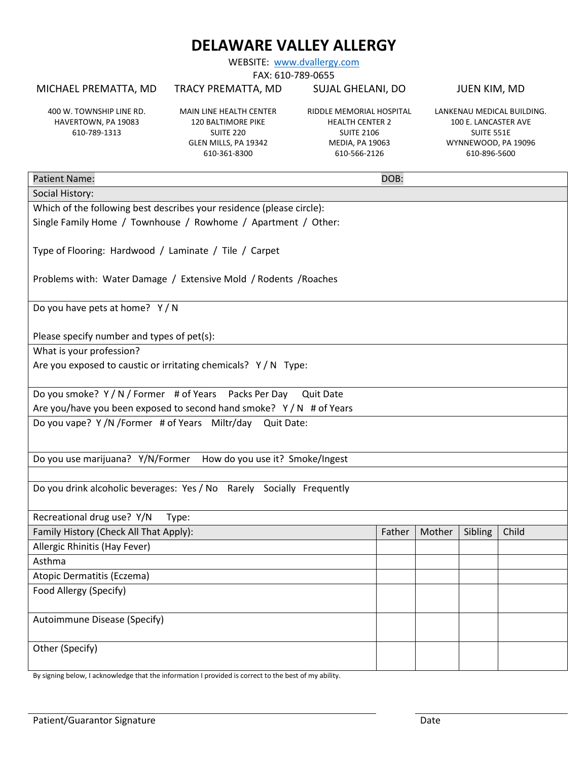WEBSITE: [www.dvallergy.com](http://www.dvallergy.com/)

FAX: 610-789-0655

#### MICHAEL PREMATTA, MD

TRACY PREMATTA, MD

SUJAL GHELANI, DO

400 W. TOWNSHIP LINE RD. HAVERTOWN, PA 19083 610-789-1313

MAIN LINE HEALTH CENTER 120 BALTIMORE PIKE SUITE 220 GLEN MILLS, PA 19342 610-361-8300

RIDDLE MEMORIAL HOSPITAL HEALTH CENTER 2 SUITE 2106 MEDIA, PA 19063 610-566-2126

LANKENAU MEDICAL BUILDING. 100 E. LANCASTER AVE SUITE 551E WYNNEWOOD, PA 19096 610-896-5600

JUEN KIM, MD

| <b>Patient Name:</b>                                                          | DOB:   |        |         |       |
|-------------------------------------------------------------------------------|--------|--------|---------|-------|
| Social History:                                                               |        |        |         |       |
| Which of the following best describes your residence (please circle):         |        |        |         |       |
| Single Family Home / Townhouse / Rowhome / Apartment / Other:                 |        |        |         |       |
|                                                                               |        |        |         |       |
| Type of Flooring: Hardwood / Laminate / Tile / Carpet                         |        |        |         |       |
|                                                                               |        |        |         |       |
| Problems with: Water Damage / Extensive Mold / Rodents / Roaches              |        |        |         |       |
|                                                                               |        |        |         |       |
| Do you have pets at home? Y/N                                                 |        |        |         |       |
|                                                                               |        |        |         |       |
| Please specify number and types of pet(s):                                    |        |        |         |       |
| What is your profession?                                                      |        |        |         |       |
| Are you exposed to caustic or irritating chemicals? Y/N Type:                 |        |        |         |       |
|                                                                               |        |        |         |       |
| Do you smoke? Y / N / Former # of Years Packs Per Day<br><b>Quit Date</b>     |        |        |         |       |
| Are you/have you been exposed to second hand smoke? Y / N # of Years          |        |        |         |       |
| Do you vape? Y /N /Former # of Years Miltr/day<br>Quit Date:                  |        |        |         |       |
|                                                                               |        |        |         |       |
| Do you use marijuana? Y/N/Former How do you use it? Smoke/Ingest              |        |        |         |       |
|                                                                               |        |        |         |       |
|                                                                               |        |        |         |       |
| Do you drink alcoholic beverages: Yes / No Rarely Socially Frequently         |        |        |         |       |
|                                                                               |        |        |         |       |
| Recreational drug use? Y/N<br>Type:<br>Family History (Check All That Apply): |        |        |         | Child |
|                                                                               | Father | Mother | Sibling |       |
| Allergic Rhinitis (Hay Fever)                                                 |        |        |         |       |
| Asthma                                                                        |        |        |         |       |
| Atopic Dermatitis (Eczema)                                                    |        |        |         |       |
| Food Allergy (Specify)                                                        |        |        |         |       |
|                                                                               |        |        |         |       |
| Autoimmune Disease (Specify)                                                  |        |        |         |       |
|                                                                               |        |        |         |       |
| Other (Specify)                                                               |        |        |         |       |
|                                                                               |        |        |         |       |

By signing below, I acknowledge that the information I provided is correct to the best of my ability.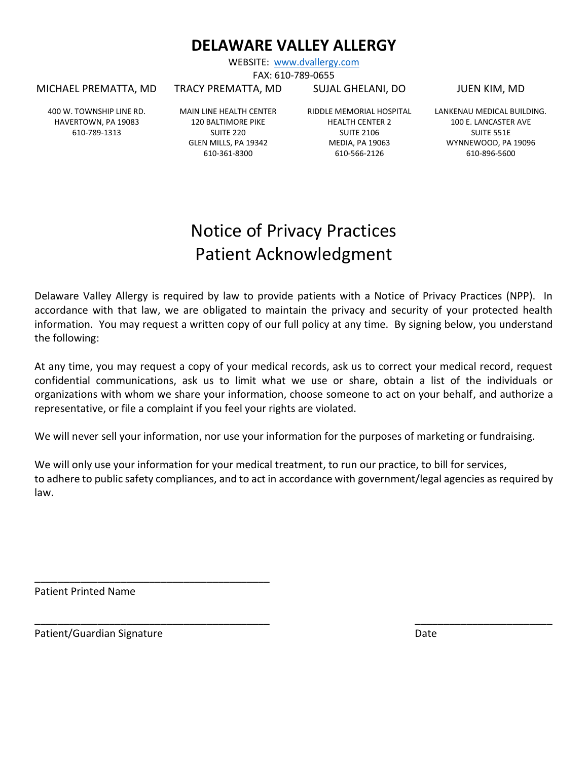WEBSITE: [www.dvallergy.com](http://www.dvallergy.com/) FAX: 610-789-0655

TRACY PREMATTA, MD SUJAL GHELANI, DO

MICHAEL PREMATTA, MD

400 W. TOWNSHIP LINE RD. HAVERTOWN, PA 19083 610-789-1313

MAIN LINE HEALTH CENTER 120 BALTIMORE PIKE SUITE 220 GLEN MILLS, PA 19342 610-361-8300

RIDDLE MEMORIAL HOSPITAL HEALTH CENTER 2 SUITE 2106 MEDIA, PA 19063 610-566-2126

JUEN KIM, MD

LANKENAU MEDICAL BUILDING. 100 E. LANCASTER AVE SUITE 551E WYNNEWOOD, PA 19096 610-896-5600

# Notice of Privacy Practices Patient Acknowledgment

Delaware Valley Allergy is required by law to provide patients with a Notice of Privacy Practices (NPP). In accordance with that law, we are obligated to maintain the privacy and security of your protected health information. You may request a written copy of our full policy at any time. By signing below, you understand the following:

At any time, you may request a copy of your medical records, ask us to correct your medical record, request confidential communications, ask us to limit what we use or share, obtain a list of the individuals or organizations with whom we share your information, choose someone to act on your behalf, and authorize a representative, or file a complaint if you feel your rights are violated.

We will never sell your information, nor use your information for the purposes of marketing or fundraising.

We will only use your information for your medical treatment, to run our practice, to bill for services, to adhere to public safety compliances, and to act in accordance with government/legal agencies as required by law.

\_\_\_\_\_\_\_\_\_\_\_\_\_\_\_\_\_\_\_\_\_\_\_\_\_\_\_\_\_\_\_\_\_\_\_\_\_\_\_\_\_ \_\_\_\_\_\_\_\_\_\_\_\_\_\_\_\_\_\_\_\_\_\_\_\_

Patient Printed Name

Patient/Guardian Signature data by the Date of the Date Date

\_\_\_\_\_\_\_\_\_\_\_\_\_\_\_\_\_\_\_\_\_\_\_\_\_\_\_\_\_\_\_\_\_\_\_\_\_\_\_\_\_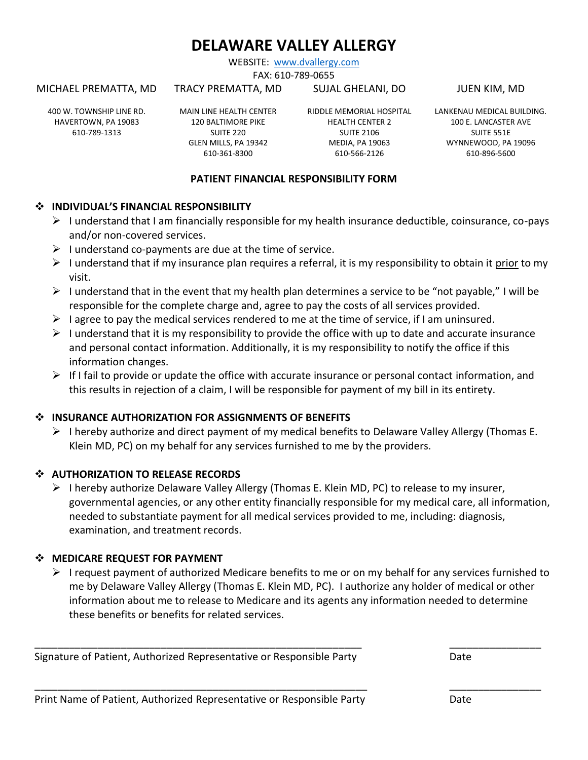WEBSITE: [www.dvallergy.com](http://www.dvallergy.com/) FAX: 610-789-0655

TRACY PREMATTA, MD

MICHAEL PREMATTA, MD

#### SUJAL GHELANI, DO

JUEN KIM, MD

400 W. TOWNSHIP LINE RD. HAVERTOWN, PA 19083 610-789-1313

MAIN LINE HEALTH CENTER 120 BALTIMORE PIKE SUITE 220 GLEN MILLS, PA 19342 610-361-8300

RIDDLE MEMORIAL HOSPITAL HEALTH CENTER 2 SUITE 2106 MEDIA, PA 19063 610-566-2126

LANKENAU MEDICAL BUILDING. 100 E. LANCASTER AVE SUITE 551E WYNNEWOOD, PA 19096 610-896-5600

### **PATIENT FINANCIAL RESPONSIBILITY FORM**

#### ❖ **INDIVIDUAL'S FINANCIAL RESPONSIBILITY**

- $\triangleright$  I understand that I am financially responsible for my health insurance deductible, coinsurance, co-pays and/or non-covered services.
- $\triangleright$  I understand co-payments are due at the time of service.
- ➢ I understand that if my insurance plan requires a referral, it is my responsibility to obtain it prior to my visit.
- $\triangleright$  I understand that in the event that my health plan determines a service to be "not payable," I will be responsible for the complete charge and, agree to pay the costs of all services provided.
- $\triangleright$  I agree to pay the medical services rendered to me at the time of service, if I am uninsured.
- $\triangleright$  I understand that it is my responsibility to provide the office with up to date and accurate insurance and personal contact information. Additionally, it is my responsibility to notify the office if this information changes.
- $\triangleright$  If I fail to provide or update the office with accurate insurance or personal contact information, and this results in rejection of a claim, I will be responsible for payment of my bill in its entirety.

### ❖ **INSURANCE AUTHORIZATION FOR ASSIGNMENTS OF BENEFITS**

 $\triangleright$  I hereby authorize and direct payment of my medical benefits to Delaware Valley Allergy (Thomas E. Klein MD, PC) on my behalf for any services furnished to me by the providers.

## ❖ **AUTHORIZATION TO RELEASE RECORDS**

 $\triangleright$  I hereby authorize Delaware Valley Allergy (Thomas E. Klein MD, PC) to release to my insurer, governmental agencies, or any other entity financially responsible for my medical care, all information, needed to substantiate payment for all medical services provided to me, including: diagnosis, examination, and treatment records.

## ❖ **MEDICARE REQUEST FOR PAYMENT**

 $\triangleright$  I request payment of authorized Medicare benefits to me or on my behalf for any services furnished to me by Delaware Valley Allergy (Thomas E. Klein MD, PC). I authorize any holder of medical or other information about me to release to Medicare and its agents any information needed to determine these benefits or benefits for related services.

\_\_\_\_\_\_\_\_\_\_\_\_\_\_\_\_\_\_\_\_\_\_\_\_\_\_\_\_\_\_\_\_\_\_\_\_\_\_\_\_\_\_\_\_\_\_\_\_\_\_\_\_\_\_\_\_\_ \_\_\_\_\_\_\_\_\_\_\_\_\_\_\_\_

\_\_\_\_\_\_\_\_\_\_\_\_\_\_\_\_\_\_\_\_\_\_\_\_\_\_\_\_\_\_\_\_\_\_\_\_\_\_\_\_\_\_\_\_\_\_\_\_\_\_\_\_\_\_\_\_\_\_ \_\_\_\_\_\_\_\_\_\_\_\_\_\_\_\_

Signature of Patient, Authorized Representative or Responsible Party Date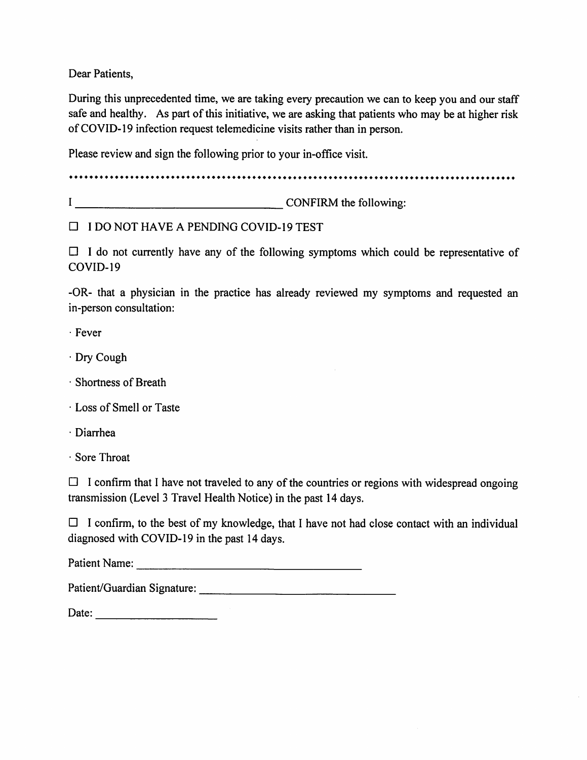Dear Patients.

During this unprecedented time, we are taking every precaution we can to keep you and our staff safe and healthy. As part of this initiative, we are asking that patients who may be at higher risk of COVID-19 infection request telemedicine visits rather than in person.

Please review and sign the following prior to your in-office visit.

I CONFIRM the following:

 $\Box$  I DO NOT HAVE A PENDING COVID-19 TEST

 $\Box$  I do not currently have any of the following symptoms which could be representative of COVID-19

-OR- that a physician in the practice has already reviewed my symptoms and requested an in-person consultation:

· Fever

- Dry Cough
- · Shortness of Breath
- Loss of Smell or Taste
- · Diarrhea
- · Sore Throat

 $\Box$  I confirm that I have not traveled to any of the countries or regions with widespread ongoing transmission (Level 3 Travel Health Notice) in the past 14 days.

 $\Box$  I confirm, to the best of my knowledge, that I have not had close contact with an individual diagnosed with COVID-19 in the past 14 days.

Patient Name: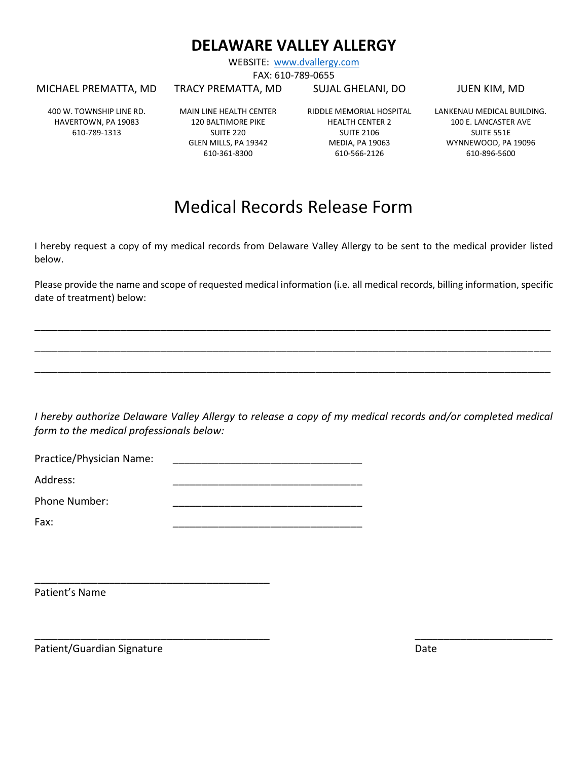WEBSITE: [www.dvallergy.com](http://www.dvallergy.com/) FAX: 610-789-0655

MICHAEL PREMATTA, MD

TRACY PREMATTA, MD

SUJAL GHELANI, DO

JUEN KIM, MD

400 W. TOWNSHIP LINE RD. HAVERTOWN, PA 19083 610-789-1313

MAIN LINE HEALTH CENTER 120 BALTIMORE PIKE SUITE 220 GLEN MILLS, PA 19342 610-361-8300

RIDDLE MEMORIAL HOSPITAL HEALTH CENTER 2 SUITE 2106 MEDIA, PA 19063 610-566-2126

LANKENAU MEDICAL BUILDING. 100 E. LANCASTER AVE SUITE 551E WYNNEWOOD, PA 19096 610-896-5600

# Medical Records Release Form

I hereby request a copy of my medical records from Delaware Valley Allergy to be sent to the medical provider listed below.

Please provide the name and scope of requested medical information (i.e. all medical records, billing information, specific date of treatment) below:

\_\_\_\_\_\_\_\_\_\_\_\_\_\_\_\_\_\_\_\_\_\_\_\_\_\_\_\_\_\_\_\_\_\_\_\_\_\_\_\_\_\_\_\_\_\_\_\_\_\_\_\_\_\_\_\_\_\_\_\_\_\_\_\_\_\_\_\_\_\_\_\_\_\_\_\_\_\_\_\_\_\_\_\_\_\_\_\_\_\_

\_\_\_\_\_\_\_\_\_\_\_\_\_\_\_\_\_\_\_\_\_\_\_\_\_\_\_\_\_\_\_\_\_\_\_\_\_\_\_\_\_\_\_\_\_\_\_\_\_\_\_\_\_\_\_\_\_\_\_\_\_\_\_\_\_\_\_\_\_\_\_\_\_\_\_\_\_\_\_\_\_\_\_\_\_\_\_\_\_\_

\_\_\_\_\_\_\_\_\_\_\_\_\_\_\_\_\_\_\_\_\_\_\_\_\_\_\_\_\_\_\_\_\_\_\_\_\_\_\_\_\_\_\_\_\_\_\_\_\_\_\_\_\_\_\_\_\_\_\_\_\_\_\_\_\_\_\_\_\_\_\_\_\_\_\_\_\_\_\_\_\_\_\_\_\_\_\_\_\_\_

*I hereby authorize Delaware Valley Allergy to release a copy of my medical records and/or completed medical form to the medical professionals below:*

\_\_\_\_\_\_\_\_\_\_\_\_\_\_\_\_\_\_\_\_\_\_\_\_\_\_\_\_\_\_\_\_\_\_\_\_\_\_\_\_\_ \_\_\_\_\_\_\_\_\_\_\_\_\_\_\_\_\_\_\_\_\_\_\_\_

Practice/Physician Name:

\_\_\_\_\_\_\_\_\_\_\_\_\_\_\_\_\_\_\_\_\_\_\_\_\_\_\_\_\_\_\_\_\_\_\_\_\_\_\_\_\_

Address: \_\_\_\_\_\_\_\_\_\_\_\_\_\_\_\_\_\_\_\_\_\_\_\_\_\_\_\_\_\_\_\_\_

Phone Number:

Fax: \_\_\_\_\_\_\_\_\_\_\_\_\_\_\_\_\_\_\_\_\_\_\_\_\_\_\_\_\_\_\_\_\_

Patient's Name

Patient/Guardian Signature Date Date Date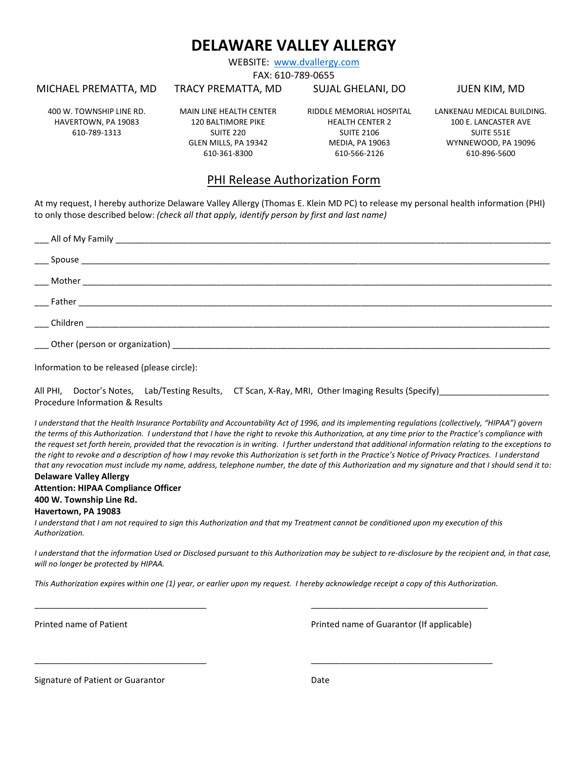WEBSITE: [www.dvallergy.com](http://www.dvallergy.com/)

FAX: 610-789-0655

MICHAEL PREMATTA, MD

#### TRACY PREMATTA, MD

#### SUJAL GHELANI, DO

JUEN KIM, MD

400 W. TOWNSHIP LINE RD. HAVERTOWN, PA 19083 610-789-1313

MAIN LINE HEALTH CENTER 120 BALTIMORE PIKE SUITE 220 GLEN MILLS, PA 19342 610-361-8300

RIDDLE MEMORIAL HOSPITAL HEALTH CENTER 2 SUITE 2106 MEDIA, PA 19063 610-566-2126

LANKENAU MEDICAL BUILDING. 100 E. LANCASTER AVE SUITE 551E WYNNEWOOD, PA 19096 610-896-5600

## PHI Release Authorization Form

At my request, I hereby authorize Delaware Valley Allergy (Thomas E. Klein MD PC) to release my personal health information (PHI) to only those described below: *(check all that apply, identify person by first and last name)*

Information to be released (please circle):

|                                 |  | All PHI, Doctor's Notes, Lab/Testing Results, CT Scan, X-Ray, MRI, Other Imaging Results (Specify) |
|---------------------------------|--|----------------------------------------------------------------------------------------------------|
| Procedure Information & Results |  |                                                                                                    |

*I understand that the Health Insurance Portability and Accountability Act of 1996, and its implementing regulations (collectively, "HIPAA") govern the terms of this Authorization. I understand that I have the right to revoke this Authorization, at any time prior to the Practice's compliance with the request set forth herein, provided that the revocation is in writing. I further understand that additional information relating to the exceptions to the right to revoke and a description of how I may revoke this Authorization is set forth in the Practice's Notice of Privacy Practices. I understand that any revocation must include my name, address, telephone number, the date of this Authorization and my signature and that I should send it to:* **Delaware Valley Allergy**

## **Attention: HIPAA Compliance Officer**

**400 W. Township Line Rd.**

#### **Havertown, PA 19083**

*I understand that I am not required to sign this Authorization and that my Treatment cannot be conditioned upon my execution of this Authorization.*

*I understand that the information Used or Disclosed pursuant to this Authorization may be subject to re-disclosure by the recipient and, in that case, will no longer be protected by HIPAA.*

*This Authorization expires within one (1) year, or earlier upon my request. I hereby acknowledge receipt a copy of this Authorization.*

\_\_\_\_\_\_\_\_\_\_\_\_\_\_\_\_\_\_\_\_\_\_\_\_\_\_\_\_\_\_\_\_\_\_\_\_ \_\_\_\_\_\_\_\_\_\_\_\_\_\_\_\_\_\_\_\_\_\_\_\_\_\_\_\_\_\_\_\_\_\_\_\_\_

\_\_\_\_\_\_\_\_\_\_\_\_\_\_\_\_\_\_\_\_\_\_\_\_\_\_\_\_\_\_\_\_\_\_\_\_ \_\_\_\_\_\_\_\_\_\_\_\_\_\_\_\_\_\_\_\_\_\_\_\_\_\_\_\_\_\_\_\_\_\_\_\_\_\_

Printed name of Patient **Printed name of Guarantor (If applicable)** Printed name of Guarantor (If applicable)

Signature of Patient or Guarantor Date Date